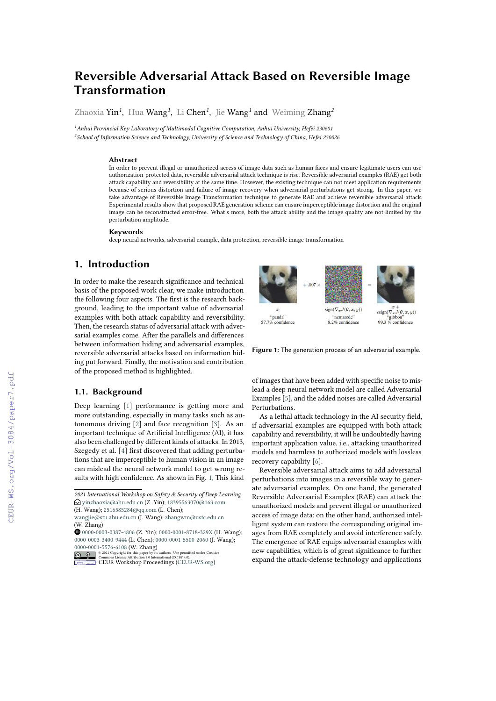# **Reversible Adversarial Attack Based on Reversible Image Transformation**

Zhaoxia Yin*<sup>1</sup>* , Hua Wang*<sup>1</sup>* , Li Chen*<sup>1</sup>* , Jie Wang*<sup>1</sup>* and Weiming Zhang*<sup>2</sup>*

*<sup>1</sup>Anhui Provincial Key Laboratory of Multimodal Cognitive Computation, Anhui University, Hefei 230601 2 School of Information Science and Technology, University of Science and Technology of China, Hefei 230026*

#### **Abstract**

In order to prevent illegal or unauthorized access of image data such as human faces and ensure legitimate users can use authorization-protected data, reversible adversarial attack technique is rise. Reversible adversarial examples (RAE) get both attack capability and reversibility at the same time. However, the existing technique can not meet application requirements because of serious distortion and failure of image recovery when adversarial perturbations get strong. In this paper, we take advantage of Reversible Image Transformation technique to generate RAE and achieve reversible adversarial attack. Experimental results show that proposed RAE generation scheme can ensure imperceptible image distortion and the original image can be reconstructed error-free. What's more, both the attack ability and the image quality are not limited by the perturbation amplitude.

#### **Keywords**

deep neural networks, adversarial example, data protection, reversible image transformation

### **1. Introduction**

In order to make the research signifcance and technical basis of the proposed work clear, we make introduction the following four aspects. The frst is the research background, leading to the important value of adversarial examples with both attack capability and reversibility. Then, the research status of adversarial attack with adversarial examples come. After the parallels and diferences between information hiding and adversarial examples, reversible adversarial attacks based on information hiding put forward. Finally, the motivation and contribution of the proposed method is highlighted.

### **1.1. Background**

Deep learning [\[1\]](#page--1-0) performance is getting more and more outstanding, especially in many tasks such as autonomous driving [\[2\]](#page--1-1) and face recognition [\[3\]](#page--1-2). As an important technique of Artifcial Intelligence (AI), it has also been challenged by diferent kinds of attacks. In 2013, Szegedy et al. [\[4\]](#page--1-3) frst discovered that adding perturbations that are imperceptible to human vision in an image can mislead the neural network model to get wrong results with high confdence. As shown in Fig. [1,](#page-0-0) This kind

(H. Wang); [2516585284@qq.com](mailto:2516585284@qq.com) (L. Chen);



<span id="page-0-0"></span>**Figure 1:** The generation process of an adversarial example.

of images that have been added with specifc noise to mislead a deep neural network model are called Adversarial Examples [\[5\]](#page--1-4), and the added noises are called Adversarial Perturbations.

As a lethal attack technology in the AI security feld, if adversarial examples are equipped with both attack capability and reversibility, it will be undoubtedly having important application value, i.e., attacking unauthorized models and harmless to authorized models with lossless recovery capability [\[6\]](#page--1-5).

Reversible adversarial attack aims to add adversarial perturbations into images in a reversible way to generate adversarial examples. On one hand, the generated Reversible Adversarial Examples (RAE) can attack the unauthorized models and prevent illegal or unauthorized access of image data; on the other hand, authorized intelligent system can restore the corresponding original images from RAE completely and avoid interference safely. The emergence of RAE equips adversarial examples with new capabilities, which is of great signifcance to further expand the attack-defense technology and applications

*<sup>2021</sup> International Workshop on Safety & Security of Deep Learning*  $\bigcirc$  [yinzhaoxia@ahu.edu.cn](mailto:yinzhaoxia@ahu.edu.cn) (Z. Yin); [18395563070@163.com](mailto:18395563070@163.com)

[wangjie@stu.ahu.edu.cn](mailto:wangjie@stu.ahu.edu.cn) (J. Wang); [zhangwm@ustc.edu.cn](mailto:zhangwm@ustc.edu.cn) (W. Zhang)

[0000-0003-0387-4806](https://orcid.org/0000-0003-0387-4806) (Z. Yin); [0000-0001-8718-329X](https://orcid.org/0000-0001-8718-329X) (H. Wang); [0000-0003-3400-9444](https://orcid.org/0000-0003-3400-9444) (L. Chen); [0000-0001-5500-2060](https://orcid.org/0000-0001-5500-2060) (J. Wang);

[<sup>0000-0001-5576-6108</sup>](https://orcid.org/0000-0001-5576-6108) (W. Zhang)<br>  $\bigcirc$   $\bullet$  2021 Copyright for this paper by its<br>
Commons License Attribution 4.0 Interuthors. Use permitted under Creative<br>ational (CC BY 4.0). **Commons License Attribution 4.0 International (CC BY 4.0).**<br>[CEUR](https://creativecommons.org/licenses/by/4.0) Workshop [Proceedings](http://ceur-ws.org) [\(CEUR-WS.org\)](http://ceur-ws.org)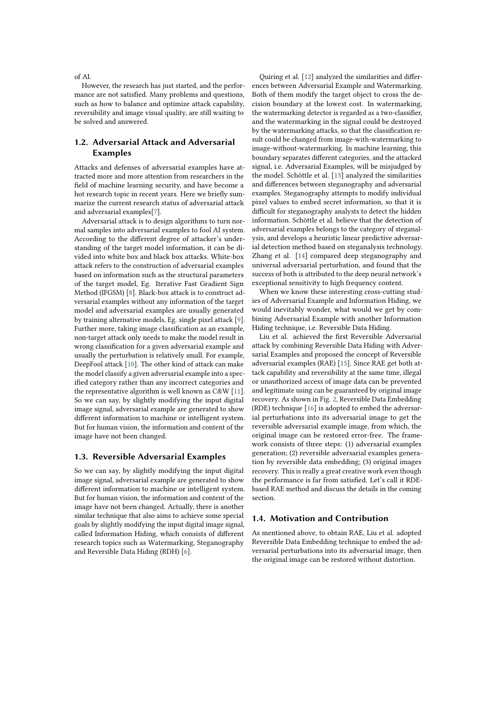#### of AI.

However, the research has just started, and the performance are not satisfed. Many problems and questions, such as how to balance and optimize attack capability, reversibility and image visual quality, are still waiting to be solved and answered.

### **1.2. Adversarial Attack and Adversarial Examples**

Attacks and defenses of adversarial examples have attracted more and more attention from researchers in the feld of machine learning security, and have become a hot research topic in recent years. Here we briefy summarize the current research status of adversarial attack and adversarial examples[\[7\]](#page-6-0).

Adversarial attack is to design algorithms to turn normal samples into adversarial examples to fool AI system. According to the diferent degree of attacker's understanding of the target model information, it can be divided into white box and black box attacks. White-box attack refers to the construction of adversarial examples based on information such as the structural parameters of the target model, Eg. Iterative Fast Gradient Sign Method (IFGSM) [\[8\]](#page-6-1). Black-box attack is to construct adversarial examples without any information of the target model and adversarial examples are usually generated by training alternative models, Eg. single pixel attack [\[9\]](#page-6-2). Further more, taking image classifcation as an example, non-target attack only needs to make the model result in wrong classifcation for a given adversarial example and usually the perturbation is relatively small. For example, DeepFool attack [\[10\]](#page-6-3). The other kind of attack can make the model classify a given adversarial example into a specifed category rather than any incorrect categories and the representative algorithm is well known as C&W [\[11\]](#page-6-4). So we can say, by slightly modifying the input digital image signal, adversarial example are generated to show diferent information to machine or intelligent system. But for human vision, the information and content of the image have not been changed.

#### **1.3. Reversible Adversarial Examples**

So we can say, by slightly modifying the input digital image signal, adversarial example are generated to show diferent information to machine or intelligent system. But for human vision, the information and content of the image have not been changed. Actually, there is another similar technique that also aims to achieve some special goals by slightly modifying the input digital image signal, called Information Hiding, which consists of diferent research topics such as Watermarking, Steganography and Reversible Data Hiding (RDH) [\[6\]](#page-6-5).

Quiring et al. [\[12\]](#page-6-6) analyzed the similarities and diferences between Adversarial Example and Watermarking. Both of them modify the target object to cross the decision boundary at the lowest cost. In watermarking, the watermarking detector is regarded as a two-classifer, and the watermarking in the signal could be destroyed by the watermarking attacks, so that the classifcation result could be changed from image-with-watermarking to image-without-watermarking. In machine learning, this boundary separates diferent categories, and the attacked signal, i.e. Adversarial Examples, will be misjudged by the model. Schöttle et al. [\[13\]](#page-6-7) analyzed the similarities and diferences between steganography and adversarial examples. Steganography attempts to modify individual pixel values to embed secret information, so that it is difficult for steganography analysts to detect the hidden information. Schöttle et al. believe that the detection of adversarial examples belongs to the category of steganalysis, and develops a heuristic linear predictive adversarial detection method based on steganalysis technology. Zhang et al. [\[14\]](#page-6-8) compared deep steganography and universal adversarial perturbation, and found that the success of both is attributed to the deep neural network's exceptional sensitivity to high frequency content.

When we know these interesting cross-cutting studies of Adversarial Example and Information Hiding, we would inevitably wonder, what would we get by combining Adversarial Example with another Information Hiding technique, i.e. Reversible Data Hiding.

Liu et al. achieved the frst Reversible Adversarial attack by combining Reversible Data Hiding with Adversarial Examples and proposed the concept of Reversible adversarial examples (RAE) [\[15\]](#page-6-9). Since RAE get both attack capability and reversibility at the same time, illegal or unauthorized access of image data can be prevented and legitimate using can be guaranteed by original image recovery. As shown in Fig. [2,](#page-2-0) Reversible Data Embedding (RDE) technique [\[16\]](#page-6-10) is adopted to embed the adversarial perturbations into its adversarial image to get the reversible adversarial example image, from which, the original image can be restored error-free. The framework consists of three steps: (1) adversarial examples generation; (2) reversible adversarial examples generation by reversible data embedding; (3) original images recovery. This is really a great creative work even though the performance is far from satisfed. Let's call it RDEbased RAE method and discuss the details in the coming section.

### **1.4. Motivation and Contribution**

As mentioned above, to obtain RAE, Liu et al. adopted Reversible Data Embedding technique to embed the adversarial perturbations into its adversarial image, then the original image can be restored without distortion.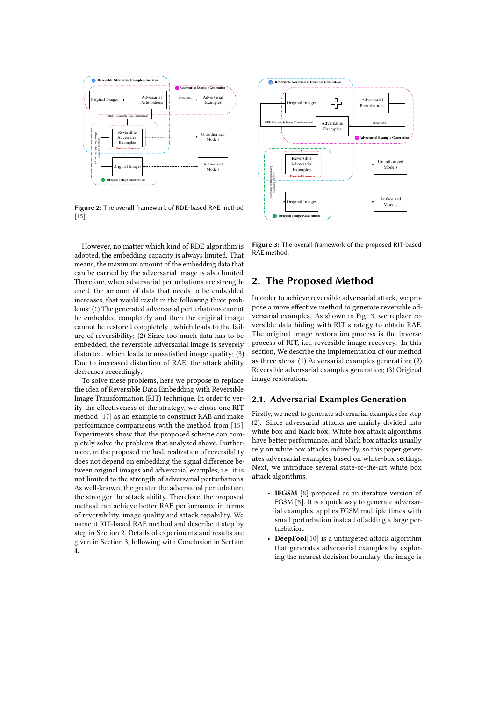

**Figure 2:** The overall framework of RDE-based RAE method [\[15\]](#page-6-9).

However, no matter which kind of RDE algorithm is adopted, the embedding capacity is always limited. That means, the maximum amount of the embedding data that can be carried by the adversarial image is also limited. Therefore, when adversarial perturbations are strengthened, the amount of data that needs to be embedded increases, that would result in the following three problems: (1) The generated adversarial perturbations cannot be embedded completely and then the original image cannot be restored completely , which leads to the failure of reversibility; (2) Since too much data has to be embedded, the reversible adversarial image is severely distorted, which leads to unsatisfed image quality; (3) Due to increased distortion of RAE, the attack ability decreases accordingly.

To solve these problems, here we propose to replace the idea of Reversible Data Embedding with Reversible Image Transformation (RIT) technique. In order to verify the efectiveness of the strategy, we chose one RIT method [\[17\]](#page-6-11) as an example to construct RAE and make performance comparisons with the method from [\[15\]](#page-6-9). Experiments show that the proposed scheme can completely solve the problems that analyzed above. Furthermore, in the proposed method, realization of reversibility does not depend on embedding the signal diference between original images and adversarial examples, i.e., it is not limited to the strength of adversarial perturbations. As well-known, the greater the adversarial perturbation, the stronger the attack ability. Therefore, the proposed method can achieve better RAE performance in terms of reversibility, image quality and attack capability. We name it RIT-based RAE method and describe it step by step in Section 2. Details of experiments and results are given in Section 3, following with Conclusion in Section 4.



<span id="page-2-1"></span><span id="page-2-0"></span>**Figure 3:** The overall framework of the proposed RIT-based RAE method.

# **2. The Proposed Method**

In order to achieve reversible adversarial attack, we propose a more efective method to generate reversible adversarial examples. As shown in Fig. [3,](#page-2-1) we replace reversible data hiding with RIT strategy to obtain RAE. The original image restoration process is the inverse process of RIT, i.e., reversible image recovery. In this section, We describe the implementation of our method as three steps: (1) Adversarial examples generation; (2) Reversible adversarial examples generation; (3) Original image restoration.

## **2.1. Adversarial Examples Generation**

Firstly, we need to generate adversarial examples for step (2). Since adversarial attacks are mainly divided into white box and black box. White box attack algorithms have better performance, and black box attacks usually rely on white box attacks indirectly, so this paper generates adversarial examples based on white-box settings. Next, we introduce several state-of-the-art white box attack algorithms.

- **IFGSM** [\[8\]](#page-6-1) proposed as an iterative version of FGSM [\[5\]](#page-6-12). It is a quick way to generate adversarial examples, applies FGSM multiple times with small perturbation instead of adding a large perturbation.
- **DeepFool**[\[10\]](#page-6-3) is a untargeted attack algorithm that generates adversarial examples by exploring the nearest decision boundary, the image is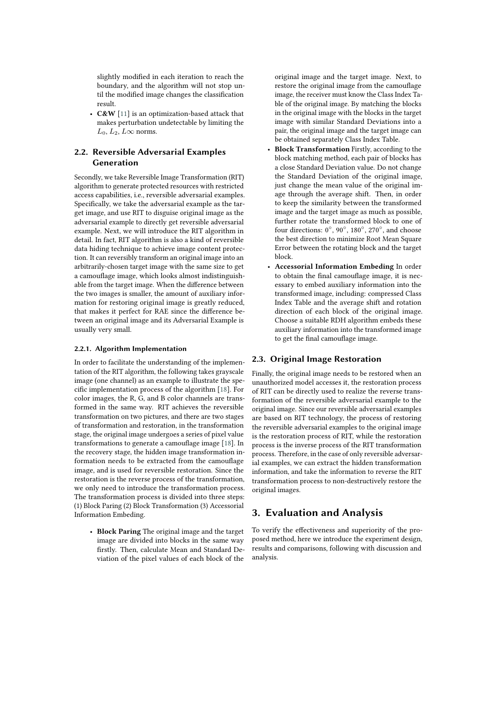slightly modifed in each iteration to reach the boundary, and the algorithm will not stop until the modifed image changes the classifcation result.

• **C&W** [\[11\]](#page-6-4) is an optimization-based attack that makes perturbation undetectable by limiting the  $L_0, L_2, L\infty$  norms.

## **2.2. Reversible Adversarial Examples Generation**

Secondly, we take Reversible Image Transformation (RIT) algorithm to generate protected resources with restricted access capabilities, i.e., reversible adversarial examples. Specifcally, we take the adversarial example as the target image, and use RIT to disguise original image as the adversarial example to directly get reversible adversarial example. Next, we will introduce the RIT algorithm in detail. In fact, RIT algorithm is also a kind of reversible data hiding technique to achieve image content protection. It can reversibly transform an original image into an arbitrarily-chosen target image with the same size to get a camoufage image, which looks almost indistinguishable from the target image. When the diference between the two images is smaller, the amount of auxiliary information for restoring original image is greatly reduced, that makes it perfect for RAE since the diference between an original image and its Adversarial Example is usually very small.

### **2.2.1. Algorithm Implementation**

In order to facilitate the understanding of the implementation of the RIT algorithm, the following takes grayscale image (one channel) as an example to illustrate the specifc implementation process of the algorithm [\[18\]](#page-6-13). For color images, the R, G, and B color channels are transformed in the same way. RIT achieves the reversible transformation on two pictures, and there are two stages of transformation and restoration, in the transformation stage, the original image undergoes a series of pixel value transformations to generate a camoufage image [\[18\]](#page-6-13). In the recovery stage, the hidden image transformation information needs to be extracted from the camoufage image, and is used for reversible restoration. Since the restoration is the reverse process of the transformation, we only need to introduce the transformation process. The transformation process is divided into three steps: (1) Block Paring (2) Block Transformation (3) Accessorial Information Embeding.

• **Block Paring** The original image and the target image are divided into blocks in the same way frstly. Then, calculate Mean and Standard Deviation of the pixel values of each block of the

original image and the target image. Next, to restore the original image from the camouflage image, the receiver must know the Class Index Table of the original image. By matching the blocks in the original image with the blocks in the target image with similar Standard Deviations into a pair, the original image and the target image can be obtained separately Class Index Table.

- **Block Transformation** Firstly, according to the block matching method, each pair of blocks has a close Standard Deviation value. Do not change the Standard Deviation of the original image, just change the mean value of the original image through the average shift. Then, in order to keep the similarity between the transformed image and the target image as much as possible, further rotate the transformed block to one of four directions:  $0^\circ$ ,  $90^\circ$ ,  $180^\circ$ ,  $270^\circ$ , and choose the best direction to minimize Root Mean Square Error between the rotating block and the target block.
- **Accessorial Information Embeding** In order to obtain the fnal camoufage image, it is necessary to embed auxiliary information into the transformed image, including: compressed Class Index Table and the average shift and rotation direction of each block of the original image. Choose a suitable RDH algorithm embeds these auxiliary information into the transformed image to get the fnal camoufage image.

### **2.3. Original Image Restoration**

Finally, the original image needs to be restored when an unauthorized model accesses it, the restoration process of RIT can be directly used to realize the reverse transformation of the reversible adversarial example to the original image. Since our reversible adversarial examples are based on RIT technology, the process of restoring the reversible adversarial examples to the original image is the restoration process of RIT, while the restoration process is the inverse process of the RIT transformation process. Therefore, in the case of only reversible adversarial examples, we can extract the hidden transformation information, and take the information to reverse the RIT transformation process to non-destructively restore the original images.

### **3. Evaluation and Analysis**

To verify the efectiveness and superiority of the proposed method, here we introduce the experiment design, results and comparisons, following with discussion and analysis.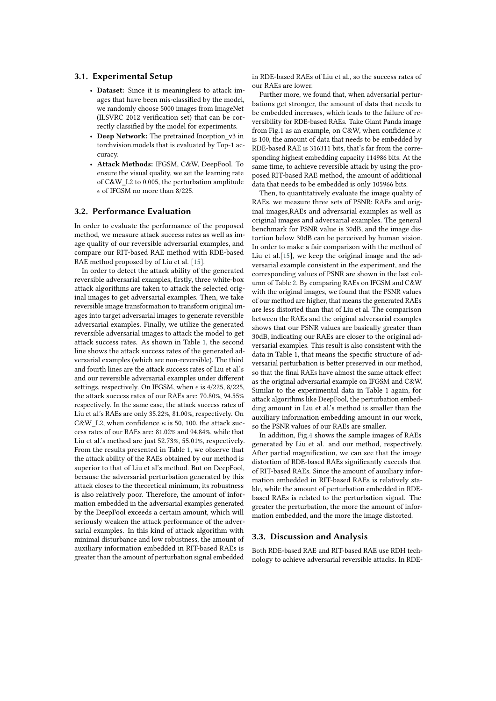### **3.1. Experimental Setup**

- **Dataset:** Since it is meaningless to attack images that have been mis-classifed by the model, we randomly choose 5000 images from ImageNet (ILSVRC 2012 verifcation set) that can be correctly classifed by the model for experiments.
- **Deep Network:** The pretrained Inception\_v3 in torchvision.models that is evaluated by Top-1 accuracy.
- **Attack Methods:** IFGSM, C&W, DeepFool. To ensure the visual quality, we set the learning rate of C&W\_L2 to 0.005, the perturbation amplitude  $\epsilon$  of IFGSM no more than 8/225.

#### **3.2. Performance Evaluation**

In order to evaluate the performance of the proposed method, we measure attack success rates as well as image quality of our reversible adversarial examples, and compare our RIT-based RAE method with RDE-based RAE method proposed by of Liu et al. [\[15\]](#page-6-9).

In order to detect the attack ability of the generated reversible adversarial examples, frstly, three white-box attack algorithms are taken to attack the selected original images to get adversarial examples. Then, we take reversible image transformation to transform original images into target adversarial images to generate reversible adversarial examples. Finally, we utilize the generated reversible adversarial images to attack the model to get attack success rates. As shown in Table [1,](#page-5-0) the second line shows the attack success rates of the generated adversarial examples (which are non-reversible). The third and fourth lines are the attack success rates of Liu et al.'s and our reversible adversarial examples under diferent settings, respectively. On IFGSM, when  $\epsilon$  is 4/225, 8/225, the attack success rates of our RAEs are: 70.80%, 94.55% respectively. In the same case, the attack success rates of Liu et al.'s RAEs are only 35.22%, 81.00%, respectively. On C&W\_L2, when confidence  $\kappa$  is 50, 100, the attack success rates of our RAEs are: 81.02% and 94.84%, while that Liu et al.'s method are just 52.73%, 55.01%, respectively. From the results presented in Table [1,](#page-5-0) we observe that the attack ability of the RAEs obtained by our method is superior to that of Liu et al's method. But on DeepFool, because the adversarial perturbation generated by this attack closes to the theoretical minimum, its robustness is also relatively poor. Therefore, the amount of information embedded in the adversarial examples generated by the DeepFool exceeds a certain amount, which will seriously weaken the attack performance of the adversarial examples. In this kind of attack algorithm with minimal disturbance and low robustness, the amount of auxiliary information embedded in RIT-based RAEs is greater than the amount of perturbation signal embedded in RDE-based RAEs of Liu et al., so the success rates of our RAEs are lower.

Further more, we found that, when adversarial perturbations get stronger, the amount of data that needs to be embedded increases, which leads to the failure of reversibility for RDE-based RAEs. Take Giant Panda image from Fig.1 as an example, on C&W, when confidence  $\kappa$ is 100, the amount of data that needs to be embedded by RDE-based RAE is 316311 bits, that's far from the corresponding highest embedding capacity 114986 bits. At the same time, to achieve reversible attack by using the proposed RIT-based RAE method, the amount of additional data that needs to be embedded is only 105966 bits.

Then, to quantitatively evaluate the image quality of RAEs, we measure three sets of PSNR: RAEs and original images,RAEs and adversarial examples as well as original images and adversarial examples. The general benchmark for PSNR value is 30dB, and the image distortion below 30dB can be perceived by human vision. In order to make a fair comparison with the method of Liu et al.[\[15\]](#page-6-9), we keep the original image and the adversarial example consistent in the experiment, and the corresponding values of PSNR are shown in the last column of Table [2.](#page-5-1) By comparing RAEs on IFGSM and C&W with the original images, we found that the PSNR values of our method are higher, that means the generated RAEs are less distorted than that of Liu et al. The comparison between the RAEs and the original adversarial examples shows that our PSNR values are basically greater than 30dB, indicating our RAEs are closer to the original adversarial examples. This result is also consistent with the data in Table 1, that means the specifc structure of adversarial perturbation is better preserved in our method, so that the fnal RAEs have almost the same attack efect as the original adversarial example on IFGSM and C&W. Similar to the experimental data in Table 1 again, for attack algorithms like DeepFool, the perturbation embedding amount in Liu et al.'s method is smaller than the auxiliary information embedding amount in our work, so the PSNR values of our RAEs are smaller.

In addition, Fig[.4](#page-5-2) shows the sample images of RAEs generated by Liu et al. and our method, respectively. After partial magnifcation, we can see that the image distortion of RDE-based RAEs signifcantly exceeds that of RIT-based RAEs. Since the amount of auxiliary information embedded in RIT-based RAEs is relatively stable, while the amount of perturbation embedded in RDEbased RAEs is related to the perturbation signal. The greater the perturbation, the more the amount of information embedded, and the more the image distorted.

### **3.3. Discussion and Analysis**

Both RDE-based RAE and RIT-based RAE use RDH technology to achieve adversarial reversible attacks. In RDE-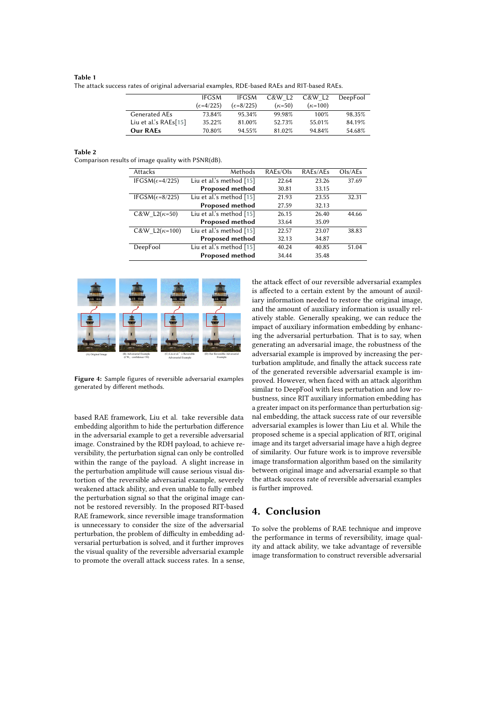#### <span id="page-5-0"></span>**Table 1** The attack success rates of original adversarial examples, RDE-based RAEs and RIT-based RAEs.

|                         | <b>IFGSM</b>         | <b>IFGSM</b>         | C&W L <sub>2</sub> | C&W L <sub>2</sub> | DeepFool |
|-------------------------|----------------------|----------------------|--------------------|--------------------|----------|
|                         | $(\epsilon = 4/225)$ | $(\epsilon = 8/225)$ | $(\kappa=50)$      | $(\kappa=100)$     |          |
| Generated AEs           | 73.84%               | 95.34%               | 99.98%             | 100%               | 98.35%   |
| Liu et al.'s $RAEs[15]$ | 35.22%               | 81.00%               | 52.73%             | 55.01%             | 84.19%   |
| Our RAEs                | 70.80%               | 94.55%               | 81.02%             | 94.84%             | 54.68%   |

<span id="page-5-1"></span>**Table 2**

Comparison results of image quality with PSNR(dB).

| Attacks                            | Methods                    | RAEs/Ols | RAEs/AEs | Ols/AEs |
|------------------------------------|----------------------------|----------|----------|---------|
| IFGSM( $\epsilon$ =4/225)          | Liu et al.'s method $[15]$ | 22.64    | 23.26    | 37.69   |
|                                    | <b>Proposed method</b>     | 30.81    | 33.15    |         |
| IFGSM( $\epsilon$ =8/225)          | Liu et al.'s method [15]   | 21.93    | 23.55    | 32.31   |
|                                    | <b>Proposed method</b>     | 27.59    | 32.13    |         |
| $C&W$ L <sub>2</sub> $(\kappa=50)$ | Liu et al's method [15]    | 26.15    | 26.40    | 44.66   |
|                                    | <b>Proposed method</b>     | 33.64    | 35.09    |         |
| C&W L2( $\kappa$ =100)             | Liu et al.'s method [15]   | 22.57    | 23.07    | 38.83   |
|                                    | <b>Proposed method</b>     | 32.13    | 34.87    |         |
| DeepFool                           | Liu et al's method [15]    | 40.24    | 40.85    | 51.04   |
|                                    | <b>Proposed method</b>     | 34.44    | 35.48    |         |
|                                    |                            |          |          |         |



<span id="page-5-2"></span>**Figure 4:** Sample figures of reversible adversarial examples generated by diferent methods.

based RAE framework, Liu et al. take reversible data embedding algorithm to hide the perturbation diference in the adversarial example to get a reversible adversarial image. Constrained by the RDH payload, to achieve reversibility, the perturbation signal can only be controlled within the range of the payload. A slight increase in the perturbation amplitude will cause serious visual distortion of the reversible adversarial example, severely weakened attack ability, and even unable to fully embed the perturbation signal so that the original image cannot be restored reversibly. In the proposed RIT-based RAE framework, since reversible image transformation is unnecessary to consider the size of the adversarial perturbation, the problem of difficulty in embedding adversarial perturbation is solved, and it further improves the visual quality of the reversible adversarial example to promote the overall attack success rates. In a sense,

the attack efect of our reversible adversarial examples is afected to a certain extent by the amount of auxiliary information needed to restore the original image, and the amount of auxiliary information is usually relatively stable. Generally speaking, we can reduce the impact of auxiliary information embedding by enhancing the adversarial perturbation. That is to say, when generating an adversarial image, the robustness of the adversarial example is improved by increasing the perturbation amplitude, and fnally the attack success rate of the generated reversible adversarial example is improved. However, when faced with an attack algorithm similar to DeepFool with less perturbation and low robustness, since RIT auxiliary information embedding has a greater impact on its performance than perturbation signal embedding, the attack success rate of our reversible adversarial examples is lower than Liu et al. While the proposed scheme is a special application of RIT, original image and its target adversarial image have a high degree of similarity. Our future work is to improve reversible image transformation algorithm based on the similarity between original image and adversarial example so that the attack success rate of reversible adversarial examples is further improved.

# **4. Conclusion**

To solve the problems of RAE technique and improve the performance in terms of reversibility, image quality and attack ability, we take advantage of reversible image transformation to construct reversible adversarial